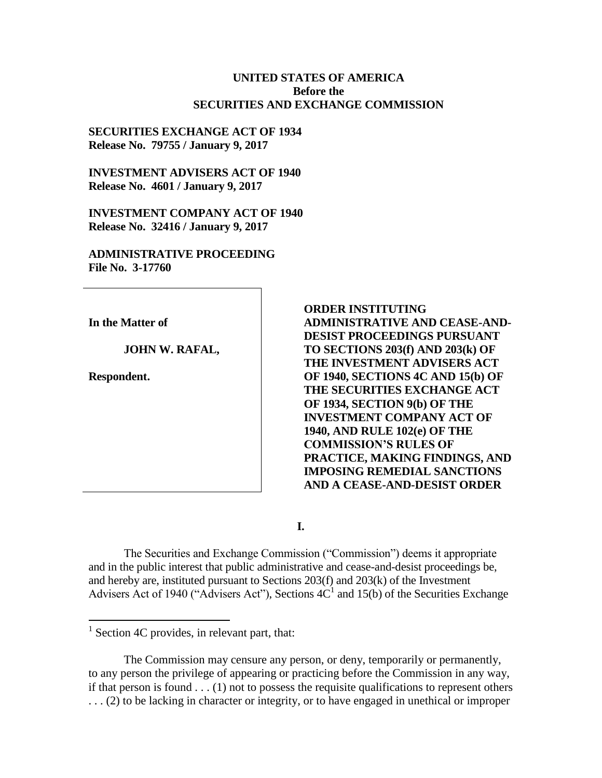### **UNITED STATES OF AMERICA Before the SECURITIES AND EXCHANGE COMMISSION**

## **SECURITIES EXCHANGE ACT OF 1934 Release No. 79755 / January 9, 2017**

**INVESTMENT ADVISERS ACT OF 1940 Release No. 4601 / January 9, 2017**

**INVESTMENT COMPANY ACT OF 1940 Release No. 32416 / January 9, 2017**

**ADMINISTRATIVE PROCEEDING File No. 3-17760**

**In the Matter of**

**JOHN W. RAFAL,** 

**Respondent.**

**ORDER INSTITUTING ADMINISTRATIVE AND CEASE-AND-DESIST PROCEEDINGS PURSUANT TO SECTIONS 203(f) AND 203(k) OF THE INVESTMENT ADVISERS ACT OF 1940, SECTIONS 4C AND 15(b) OF THE SECURITIES EXCHANGE ACT OF 1934, SECTION 9(b) OF THE INVESTMENT COMPANY ACT OF 1940, AND RULE 102(e) OF THE COMMISSION'S RULES OF PRACTICE, MAKING FINDINGS, AND IMPOSING REMEDIAL SANCTIONS AND A CEASE-AND-DESIST ORDER**

**I.**

The Securities and Exchange Commission ("Commission") deems it appropriate and in the public interest that public administrative and cease-and-desist proceedings be, and hereby are, instituted pursuant to Sections 203(f) and 203(k) of the Investment Advisers Act of 1940 ("Advisers Act"), Sections  $4C<sup>1</sup>$  and 15(b) of the Securities Exchange

The Commission may censure any person, or deny, temporarily or permanently, to any person the privilege of appearing or practicing before the Commission in any way, if that person is found  $\dots$  (1) not to possess the requisite qualifications to represent others . . . (2) to be lacking in character or integrity, or to have engaged in unethical or improper

<sup>&</sup>lt;sup>1</sup> Section 4C provides, in relevant part, that: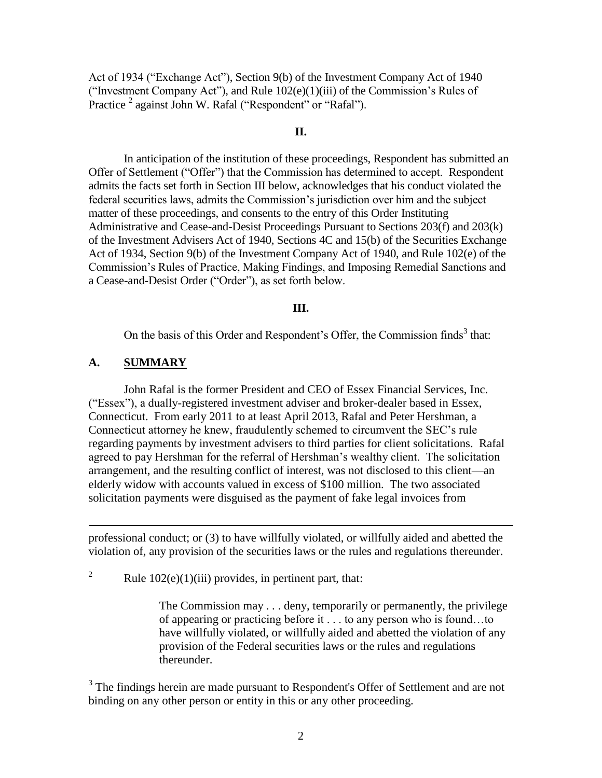Act of 1934 ("Exchange Act"), Section 9(b) of the Investment Company Act of 1940 ("Investment Company Act"), and Rule  $102(e)(1)(iii)$  of the Commission's Rules of Practice<sup>2</sup> against John W. Rafal ("Respondent" or "Rafal").

### **II.**

In anticipation of the institution of these proceedings, Respondent has submitted an Offer of Settlement ("Offer") that the Commission has determined to accept. Respondent admits the facts set forth in Section III below, acknowledges that his conduct violated the federal securities laws, admits the Commission's jurisdiction over him and the subject matter of these proceedings, and consents to the entry of this Order Instituting Administrative and Cease-and-Desist Proceedings Pursuant to Sections 203(f) and 203(k) of the Investment Advisers Act of 1940, Sections 4C and 15(b) of the Securities Exchange Act of 1934, Section 9(b) of the Investment Company Act of 1940, and Rule 102(e) of the Commission's Rules of Practice, Making Findings, and Imposing Remedial Sanctions and a Cease-and-Desist Order ("Order"), as set forth below.

#### **III.**

On the basis of this Order and Respondent's Offer, the Commission finds<sup>3</sup> that:

## **A. SUMMARY**

 $\overline{a}$ 

John Rafal is the former President and CEO of Essex Financial Services, Inc. ("Essex"), a dually-registered investment adviser and broker-dealer based in Essex, Connecticut. From early 2011 to at least April 2013, Rafal and Peter Hershman, a Connecticut attorney he knew, fraudulently schemed to circumvent the SEC's rule regarding payments by investment advisers to third parties for client solicitations. Rafal agreed to pay Hershman for the referral of Hershman's wealthy client. The solicitation arrangement, and the resulting conflict of interest, was not disclosed to this client—an elderly widow with accounts valued in excess of \$100 million. The two associated solicitation payments were disguised as the payment of fake legal invoices from

professional conduct; or (3) to have willfully violated, or willfully aided and abetted the violation of, any provision of the securities laws or the rules and regulations thereunder.

<sup>2</sup> Rule  $102(e)(1)(iii)$  provides, in pertinent part, that:

The Commission may . . . deny, temporarily or permanently, the privilege of appearing or practicing before it . . . to any person who is found…to have willfully violated, or willfully aided and abetted the violation of any provision of the Federal securities laws or the rules and regulations thereunder.

<sup>3</sup> The findings herein are made pursuant to Respondent's Offer of Settlement and are not binding on any other person or entity in this or any other proceeding.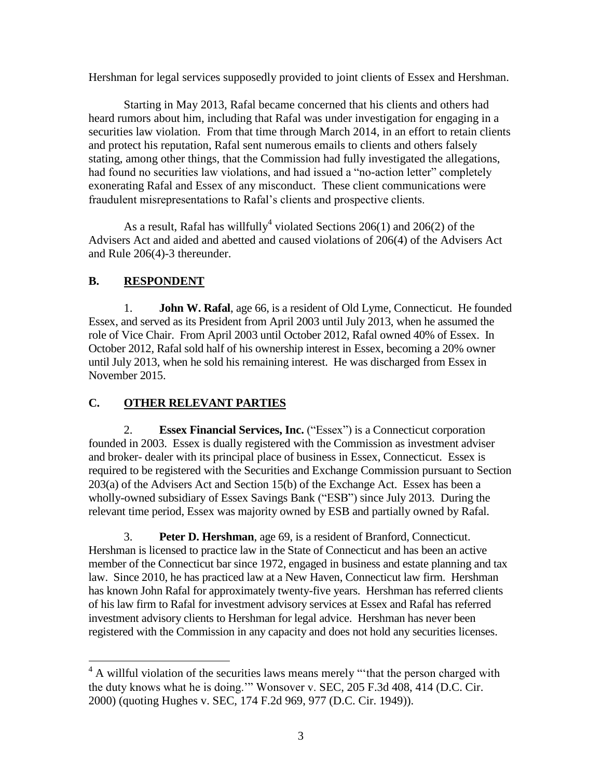Hershman for legal services supposedly provided to joint clients of Essex and Hershman.

Starting in May 2013, Rafal became concerned that his clients and others had heard rumors about him, including that Rafal was under investigation for engaging in a securities law violation. From that time through March 2014, in an effort to retain clients and protect his reputation, Rafal sent numerous emails to clients and others falsely stating, among other things, that the Commission had fully investigated the allegations, had found no securities law violations, and had issued a "no-action letter" completely exonerating Rafal and Essex of any misconduct. These client communications were fraudulent misrepresentations to Rafal's clients and prospective clients.

As a result, Rafal has willfully<sup>4</sup> violated Sections 206(1) and 206(2) of the Advisers Act and aided and abetted and caused violations of 206(4) of the Advisers Act and Rule 206(4)-3 thereunder.

# **B. RESPONDENT**

1. **John W. Rafal**, age 66, is a resident of Old Lyme, Connecticut. He founded Essex, and served as its President from April 2003 until July 2013, when he assumed the role of Vice Chair. From April 2003 until October 2012, Rafal owned 40% of Essex. In October 2012, Rafal sold half of his ownership interest in Essex, becoming a 20% owner until July 2013, when he sold his remaining interest. He was discharged from Essex in November 2015.

## **C. OTHER RELEVANT PARTIES**

2. **Essex Financial Services, Inc.** ("Essex") is a Connecticut corporation founded in 2003. Essex is dually registered with the Commission as investment adviser and broker- dealer with its principal place of business in Essex, Connecticut. Essex is required to be registered with the Securities and Exchange Commission pursuant to Section 203(a) of the Advisers Act and Section 15(b) of the Exchange Act. Essex has been a wholly-owned subsidiary of Essex Savings Bank ("ESB") since July 2013. During the relevant time period, Essex was majority owned by ESB and partially owned by Rafal.

3. **Peter D. Hershman**, age 69, is a resident of Branford, Connecticut. Hershman is licensed to practice law in the State of Connecticut and has been an active member of the Connecticut bar since 1972, engaged in business and estate planning and tax law. Since 2010, he has practiced law at a New Haven, Connecticut law firm. Hershman has known John Rafal for approximately twenty-five years. Hershman has referred clients of his law firm to Rafal for investment advisory services at Essex and Rafal has referred investment advisory clients to Hershman for legal advice. Hershman has never been registered with the Commission in any capacity and does not hold any securities licenses.

 $\overline{a}$  $4 \text{ A will full violation of the securities laws means merely "that the person charged with}$ the duty knows what he is doing.'" Wonsover v. SEC, 205 F.3d 408, 414 (D.C. Cir. 2000) (quoting Hughes v. SEC, 174 F.2d 969, 977 (D.C. Cir. 1949)).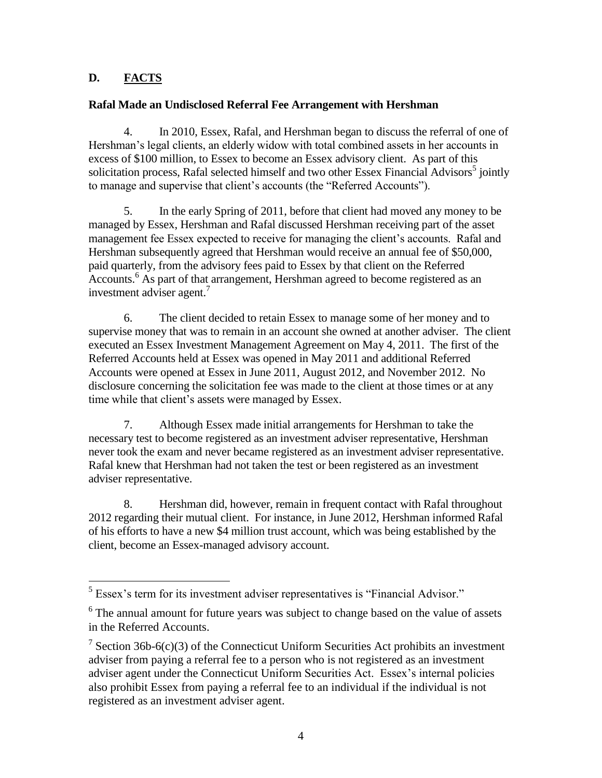## **D. FACTS**

## **Rafal Made an Undisclosed Referral Fee Arrangement with Hershman**

4. In 2010, Essex, Rafal, and Hershman began to discuss the referral of one of Hershman's legal clients, an elderly widow with total combined assets in her accounts in excess of \$100 million, to Essex to become an Essex advisory client. As part of this solicitation process, Rafal selected himself and two other Essex Financial Advisors<sup>5</sup> jointly to manage and supervise that client's accounts (the "Referred Accounts").

5. In the early Spring of 2011, before that client had moved any money to be managed by Essex, Hershman and Rafal discussed Hershman receiving part of the asset management fee Essex expected to receive for managing the client's accounts. Rafal and Hershman subsequently agreed that Hershman would receive an annual fee of \$50,000, paid quarterly, from the advisory fees paid to Essex by that client on the Referred Accounts.<sup>6</sup> As part of that arrangement, Hershman agreed to become registered as an investment adviser agent.<sup>7</sup>

6. The client decided to retain Essex to manage some of her money and to supervise money that was to remain in an account she owned at another adviser. The client executed an Essex Investment Management Agreement on May 4, 2011. The first of the Referred Accounts held at Essex was opened in May 2011 and additional Referred Accounts were opened at Essex in June 2011, August 2012, and November 2012. No disclosure concerning the solicitation fee was made to the client at those times or at any time while that client's assets were managed by Essex.

7. Although Essex made initial arrangements for Hershman to take the necessary test to become registered as an investment adviser representative, Hershman never took the exam and never became registered as an investment adviser representative. Rafal knew that Hershman had not taken the test or been registered as an investment adviser representative.

8. Hershman did, however, remain in frequent contact with Rafal throughout 2012 regarding their mutual client. For instance, in June 2012, Hershman informed Rafal of his efforts to have a new \$4 million trust account, which was being established by the client, become an Essex-managed advisory account.

<sup>&</sup>lt;sup>5</sup> Essex's term for its investment adviser representatives is "Financial Advisor."

<sup>&</sup>lt;sup>6</sup> The annual amount for future years was subject to change based on the value of assets in the Referred Accounts.

<sup>&</sup>lt;sup>7</sup> Section 36b-6(c)(3) of the Connecticut Uniform Securities Act prohibits an investment adviser from paying a referral fee to a person who is not registered as an investment adviser agent under the Connecticut Uniform Securities Act. Essex's internal policies also prohibit Essex from paying a referral fee to an individual if the individual is not registered as an investment adviser agent.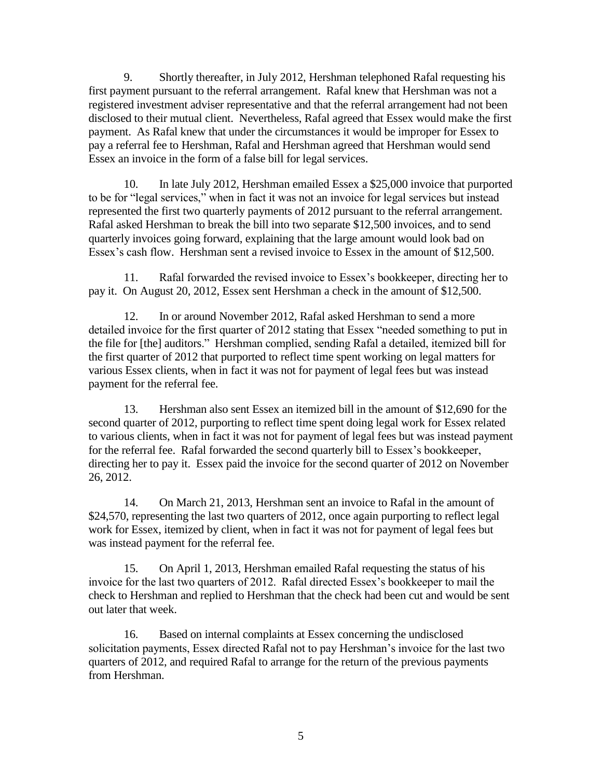9. Shortly thereafter, in July 2012, Hershman telephoned Rafal requesting his first payment pursuant to the referral arrangement. Rafal knew that Hershman was not a registered investment adviser representative and that the referral arrangement had not been disclosed to their mutual client. Nevertheless, Rafal agreed that Essex would make the first payment. As Rafal knew that under the circumstances it would be improper for Essex to pay a referral fee to Hershman, Rafal and Hershman agreed that Hershman would send Essex an invoice in the form of a false bill for legal services.

10. In late July 2012, Hershman emailed Essex a \$25,000 invoice that purported to be for "legal services," when in fact it was not an invoice for legal services but instead represented the first two quarterly payments of 2012 pursuant to the referral arrangement. Rafal asked Hershman to break the bill into two separate \$12,500 invoices, and to send quarterly invoices going forward, explaining that the large amount would look bad on Essex's cash flow. Hershman sent a revised invoice to Essex in the amount of \$12,500.

11. Rafal forwarded the revised invoice to Essex's bookkeeper, directing her to pay it. On August 20, 2012, Essex sent Hershman a check in the amount of \$12,500.

12. In or around November 2012, Rafal asked Hershman to send a more detailed invoice for the first quarter of 2012 stating that Essex "needed something to put in the file for [the] auditors." Hershman complied, sending Rafal a detailed, itemized bill for the first quarter of 2012 that purported to reflect time spent working on legal matters for various Essex clients, when in fact it was not for payment of legal fees but was instead payment for the referral fee.

13. Hershman also sent Essex an itemized bill in the amount of \$12,690 for the second quarter of 2012, purporting to reflect time spent doing legal work for Essex related to various clients, when in fact it was not for payment of legal fees but was instead payment for the referral fee. Rafal forwarded the second quarterly bill to Essex's bookkeeper, directing her to pay it. Essex paid the invoice for the second quarter of 2012 on November 26, 2012.

14. On March 21, 2013, Hershman sent an invoice to Rafal in the amount of \$24,570, representing the last two quarters of 2012, once again purporting to reflect legal work for Essex, itemized by client, when in fact it was not for payment of legal fees but was instead payment for the referral fee.

15. On April 1, 2013, Hershman emailed Rafal requesting the status of his invoice for the last two quarters of 2012. Rafal directed Essex's bookkeeper to mail the check to Hershman and replied to Hershman that the check had been cut and would be sent out later that week.

16. Based on internal complaints at Essex concerning the undisclosed solicitation payments, Essex directed Rafal not to pay Hershman's invoice for the last two quarters of 2012, and required Rafal to arrange for the return of the previous payments from Hershman.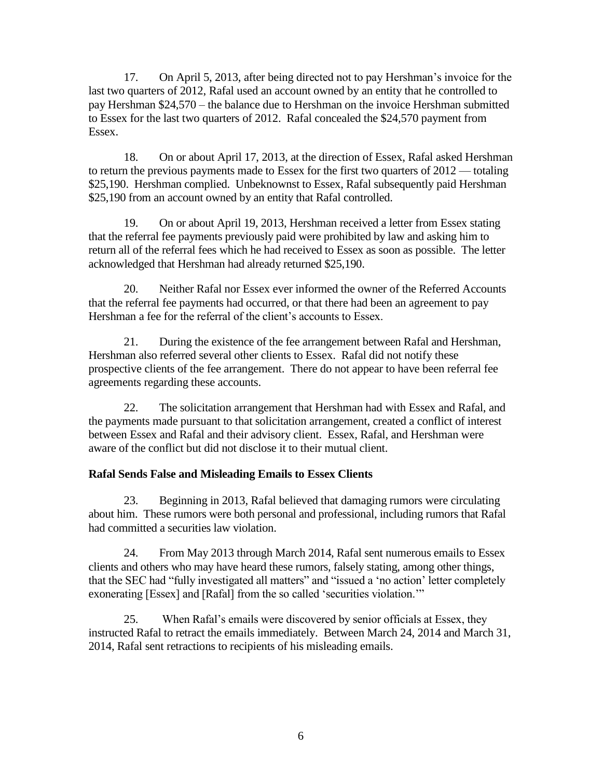17. On April 5, 2013, after being directed not to pay Hershman's invoice for the last two quarters of 2012, Rafal used an account owned by an entity that he controlled to pay Hershman \$24,570 – the balance due to Hershman on the invoice Hershman submitted to Essex for the last two quarters of 2012. Rafal concealed the \$24,570 payment from Essex.

18. On or about April 17, 2013, at the direction of Essex, Rafal asked Hershman to return the previous payments made to Essex for the first two quarters of 2012 — totaling \$25,190. Hershman complied. Unbeknownst to Essex, Rafal subsequently paid Hershman \$25,190 from an account owned by an entity that Rafal controlled.

19. On or about April 19, 2013, Hershman received a letter from Essex stating that the referral fee payments previously paid were prohibited by law and asking him to return all of the referral fees which he had received to Essex as soon as possible. The letter acknowledged that Hershman had already returned \$25,190.

20. Neither Rafal nor Essex ever informed the owner of the Referred Accounts that the referral fee payments had occurred, or that there had been an agreement to pay Hershman a fee for the referral of the client's accounts to Essex.

21. During the existence of the fee arrangement between Rafal and Hershman, Hershman also referred several other clients to Essex. Rafal did not notify these prospective clients of the fee arrangement. There do not appear to have been referral fee agreements regarding these accounts.

22. The solicitation arrangement that Hershman had with Essex and Rafal, and the payments made pursuant to that solicitation arrangement, created a conflict of interest between Essex and Rafal and their advisory client. Essex, Rafal, and Hershman were aware of the conflict but did not disclose it to their mutual client.

## **Rafal Sends False and Misleading Emails to Essex Clients**

23. Beginning in 2013, Rafal believed that damaging rumors were circulating about him. These rumors were both personal and professional, including rumors that Rafal had committed a securities law violation.

24. From May 2013 through March 2014, Rafal sent numerous emails to Essex clients and others who may have heard these rumors, falsely stating, among other things, that the SEC had "fully investigated all matters" and "issued a 'no action' letter completely exonerating [Essex] and [Rafal] from the so called 'securities violation.'"

25. When Rafal's emails were discovered by senior officials at Essex, they instructed Rafal to retract the emails immediately. Between March 24, 2014 and March 31, 2014, Rafal sent retractions to recipients of his misleading emails.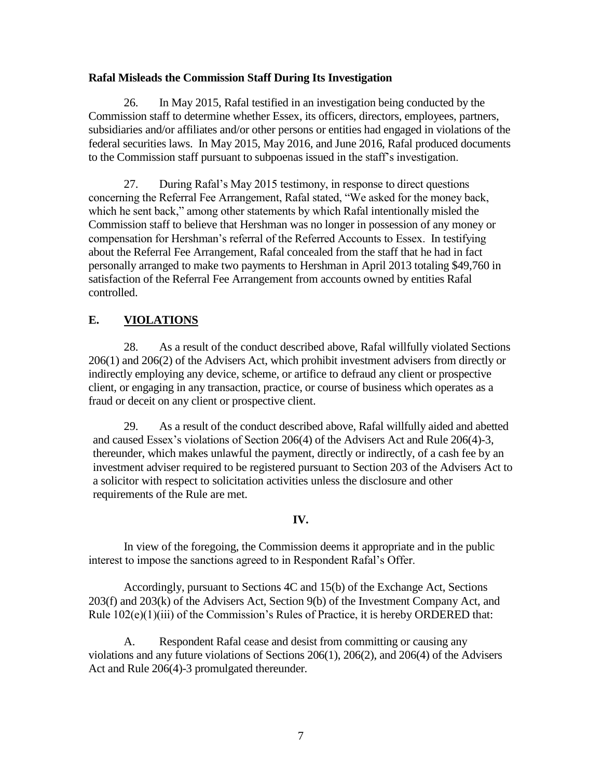### **Rafal Misleads the Commission Staff During Its Investigation**

26. In May 2015, Rafal testified in an investigation being conducted by the Commission staff to determine whether Essex, its officers, directors, employees, partners, subsidiaries and/or affiliates and/or other persons or entities had engaged in violations of the federal securities laws. In May 2015, May 2016, and June 2016, Rafal produced documents to the Commission staff pursuant to subpoenas issued in the staff's investigation.

27. During Rafal's May 2015 testimony, in response to direct questions concerning the Referral Fee Arrangement, Rafal stated, "We asked for the money back, which he sent back," among other statements by which Rafal intentionally misled the Commission staff to believe that Hershman was no longer in possession of any money or compensation for Hershman's referral of the Referred Accounts to Essex. In testifying about the Referral Fee Arrangement, Rafal concealed from the staff that he had in fact personally arranged to make two payments to Hershman in April 2013 totaling \$49,760 in satisfaction of the Referral Fee Arrangement from accounts owned by entities Rafal controlled.

## **E. VIOLATIONS**

28. As a result of the conduct described above, Rafal willfully violated Sections 206(1) and 206(2) of the Advisers Act, which prohibit investment advisers from directly or indirectly employing any device, scheme, or artifice to defraud any client or prospective client, or engaging in any transaction, practice, or course of business which operates as a fraud or deceit on any client or prospective client.

29. As a result of the conduct described above, Rafal willfully aided and abetted and caused Essex's violations of Section 206(4) of the Advisers Act and Rule 206(4)-3, thereunder, which makes unlawful the payment, directly or indirectly, of a cash fee by an investment adviser required to be registered pursuant to Section 203 of the Advisers Act to a solicitor with respect to solicitation activities unless the disclosure and other requirements of the Rule are met.

### **IV.**

In view of the foregoing, the Commission deems it appropriate and in the public interest to impose the sanctions agreed to in Respondent Rafal's Offer.

Accordingly, pursuant to Sections 4C and 15(b) of the Exchange Act, Sections 203(f) and 203(k) of the Advisers Act, Section 9(b) of the Investment Company Act, and Rule 102(e)(1)(iii) of the Commission's Rules of Practice, it is hereby ORDERED that:

A. Respondent Rafal cease and desist from committing or causing any violations and any future violations of Sections 206(1), 206(2), and 206(4) of the Advisers Act and Rule 206(4)-3 promulgated thereunder.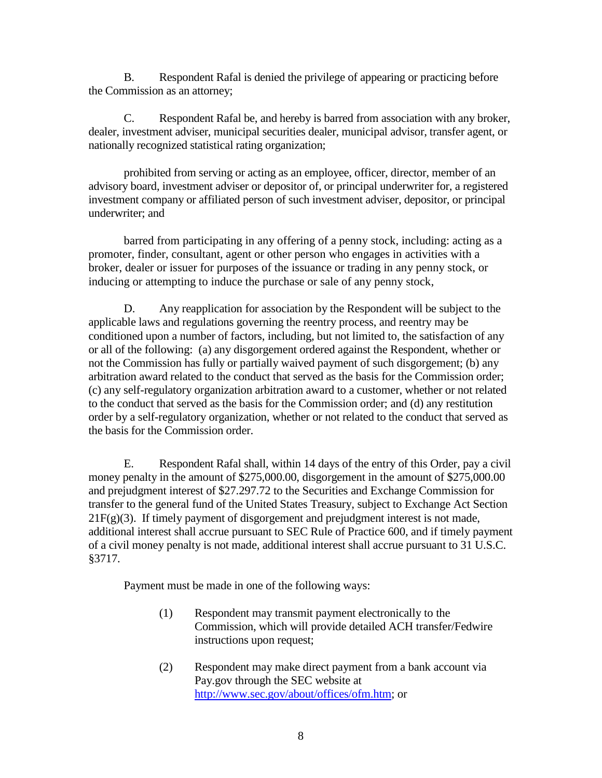B. Respondent Rafal is denied the privilege of appearing or practicing before the Commission as an attorney;

C. Respondent Rafal be, and hereby is barred from association with any broker, dealer, investment adviser, municipal securities dealer, municipal advisor, transfer agent, or nationally recognized statistical rating organization;

prohibited from serving or acting as an employee, officer, director, member of an advisory board, investment adviser or depositor of, or principal underwriter for, a registered investment company or affiliated person of such investment adviser, depositor, or principal underwriter; and

barred from participating in any offering of a penny stock, including: acting as a promoter, finder, consultant, agent or other person who engages in activities with a broker, dealer or issuer for purposes of the issuance or trading in any penny stock, or inducing or attempting to induce the purchase or sale of any penny stock,

D. Any reapplication for association by the Respondent will be subject to the applicable laws and regulations governing the reentry process, and reentry may be conditioned upon a number of factors, including, but not limited to, the satisfaction of any or all of the following: (a) any disgorgement ordered against the Respondent, whether or not the Commission has fully or partially waived payment of such disgorgement; (b) any arbitration award related to the conduct that served as the basis for the Commission order; (c) any self-regulatory organization arbitration award to a customer, whether or not related to the conduct that served as the basis for the Commission order; and (d) any restitution order by a self-regulatory organization, whether or not related to the conduct that served as the basis for the Commission order.

E. Respondent Rafal shall, within 14 days of the entry of this Order, pay a civil money penalty in the amount of \$275,000.00, disgorgement in the amount of \$275,000.00 and prejudgment interest of \$27.297.72 to the Securities and Exchange Commission for transfer to the general fund of the United States Treasury, subject to Exchange Act Section  $21F(g)(3)$ . If timely payment of disgorgement and prejudgment interest is not made, additional interest shall accrue pursuant to SEC Rule of Practice 600, and if timely payment of a civil money penalty is not made, additional interest shall accrue pursuant to 31 U.S.C. §3717.

Payment must be made in one of the following ways:

- (1) Respondent may transmit payment electronically to the Commission, which will provide detailed ACH transfer/Fedwire instructions upon request;
- (2) Respondent may make direct payment from a bank account via Pay.gov through the SEC website at [http://www.sec.gov/about/offices/ofm.htm;](http://www.sec.gov/about/offices/ofm.htm) or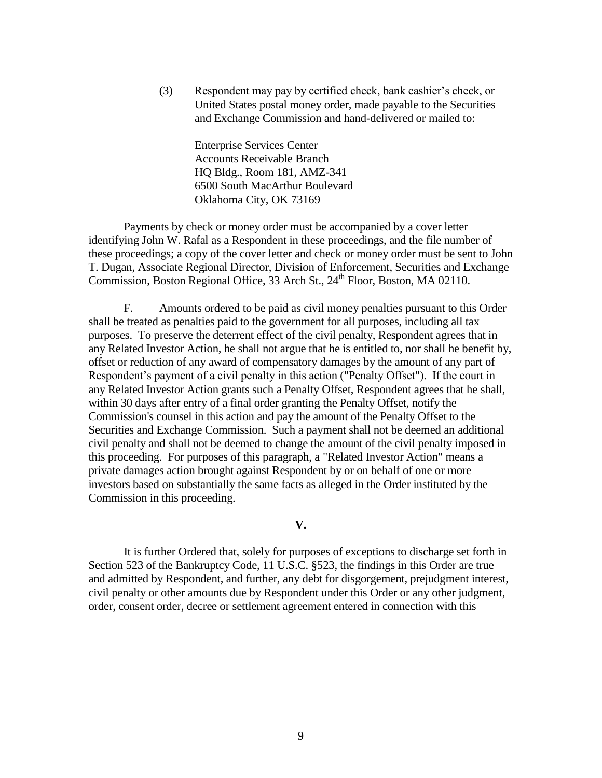(3) Respondent may pay by certified check, bank cashier's check, or United States postal money order, made payable to the Securities and Exchange Commission and hand-delivered or mailed to:

> Enterprise Services Center Accounts Receivable Branch HQ Bldg., Room 181, AMZ-341 6500 South MacArthur Boulevard Oklahoma City, OK 73169

Payments by check or money order must be accompanied by a cover letter identifying John W. Rafal as a Respondent in these proceedings, and the file number of these proceedings; a copy of the cover letter and check or money order must be sent to John T. Dugan, Associate Regional Director, Division of Enforcement, Securities and Exchange Commission, Boston Regional Office, 33 Arch St., 24<sup>th</sup> Floor, Boston, MA 02110.

F. Amounts ordered to be paid as civil money penalties pursuant to this Order shall be treated as penalties paid to the government for all purposes, including all tax purposes. To preserve the deterrent effect of the civil penalty, Respondent agrees that in any Related Investor Action, he shall not argue that he is entitled to, nor shall he benefit by, offset or reduction of any award of compensatory damages by the amount of any part of Respondent's payment of a civil penalty in this action ("Penalty Offset"). If the court in any Related Investor Action grants such a Penalty Offset, Respondent agrees that he shall, within 30 days after entry of a final order granting the Penalty Offset, notify the Commission's counsel in this action and pay the amount of the Penalty Offset to the Securities and Exchange Commission. Such a payment shall not be deemed an additional civil penalty and shall not be deemed to change the amount of the civil penalty imposed in this proceeding. For purposes of this paragraph, a "Related Investor Action" means a private damages action brought against Respondent by or on behalf of one or more investors based on substantially the same facts as alleged in the Order instituted by the Commission in this proceeding.

**V.**

It is further Ordered that, solely for purposes of exceptions to discharge set forth in Section 523 of the Bankruptcy Code, 11 U.S.C. §523, the findings in this Order are true and admitted by Respondent, and further, any debt for disgorgement, prejudgment interest, civil penalty or other amounts due by Respondent under this Order or any other judgment, order, consent order, decree or settlement agreement entered in connection with this